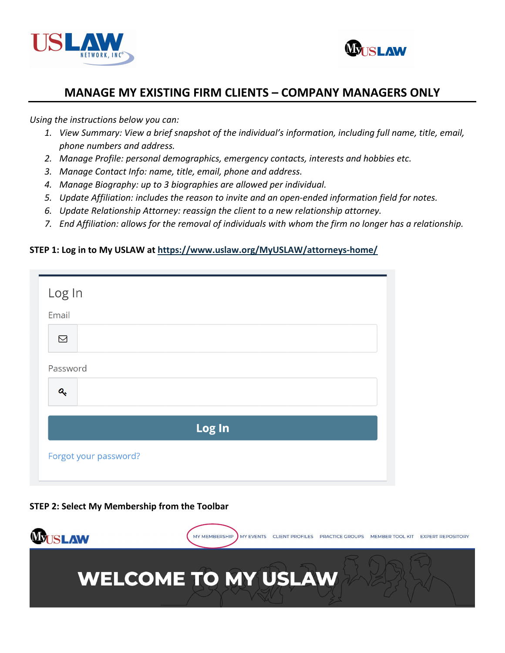



*Using the instructions below you can:* 

- *1. View Summary: View a brief snapshot of the individual's information, including full name, title, email, phone numbers and address.*
- *2. Manage Profile: personal demographics, emergency contacts, interests and hobbies etc.*
- *3. Manage Contact Info: name, title, email, phone and address.*
- *4. Manage Biography: up to 3 biographies are allowed per individual.*
- *5. Update Affiliation: includes the reason to invite and an open-ended information field for notes.*
- *6. Update Relationship Attorney: reassign the client to a new relationship attorney.*
- *7. End Affiliation: allows for the removal of individuals with whom the firm no longer has a relationship.*

### **STEP 1: Log in to My USLAW at [https://www.uslaw.org/MyUSLAW/attorneys-home/](https://www.uslaw.org/myuslaw/attorneys-home/)**

| Log In                    |  |  |  |
|---------------------------|--|--|--|
| Email                     |  |  |  |
| $\boxtimes$               |  |  |  |
| Password                  |  |  |  |
| $\mathbf{a}_{\mathbf{r}}$ |  |  |  |
| Log In                    |  |  |  |
| Forgot your password?     |  |  |  |

### **STEP 2: Select My Membership from the Toolbar**

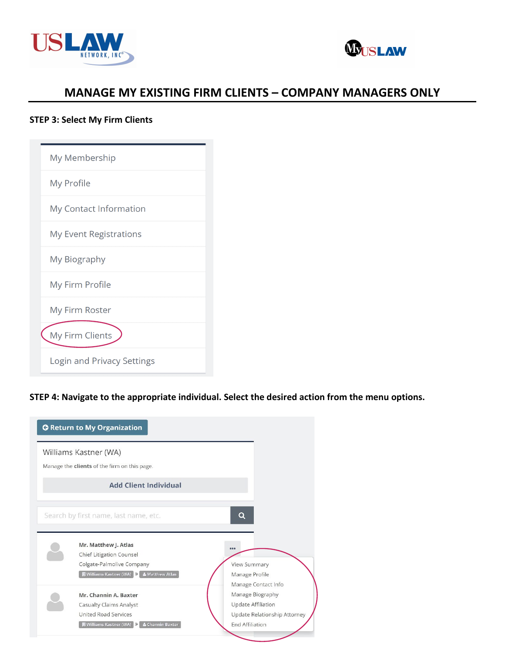



### **STEP 3: Select My Firm Clients**

| My Membership                 |
|-------------------------------|
| My Profile                    |
| My Contact Information        |
| <b>My Event Registrations</b> |
| My Biography                  |
| My Firm Profile               |
| My Firm Roster                |
| My Firm Clients               |
| Login and Privacy Settings    |

### **STEP 4: Navigate to the appropriate individual. Select the desired action from the menu options.**

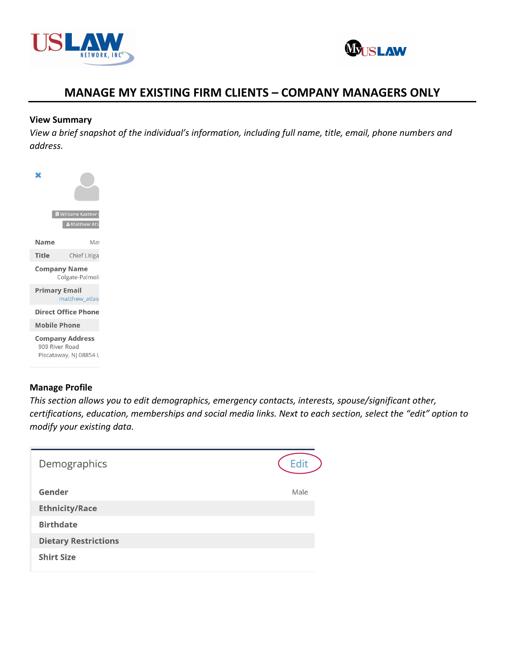



#### **View Summary**

*View a brief snapshot of the individual's information, including full name, title, email, phone numbers and address.*



### **Manage Profile**

*This section allows you to edit demographics, emergency contacts, interests, spouse/significant other, certifications, education, memberships and social media links. Next to each section, select the "edit" option to modify your existing data.*

| Demographics                | Edit |
|-----------------------------|------|
| Gender                      | Male |
| <b>Ethnicity/Race</b>       |      |
| <b>Birthdate</b>            |      |
| <b>Dietary Restrictions</b> |      |
| <b>Shirt Size</b>           |      |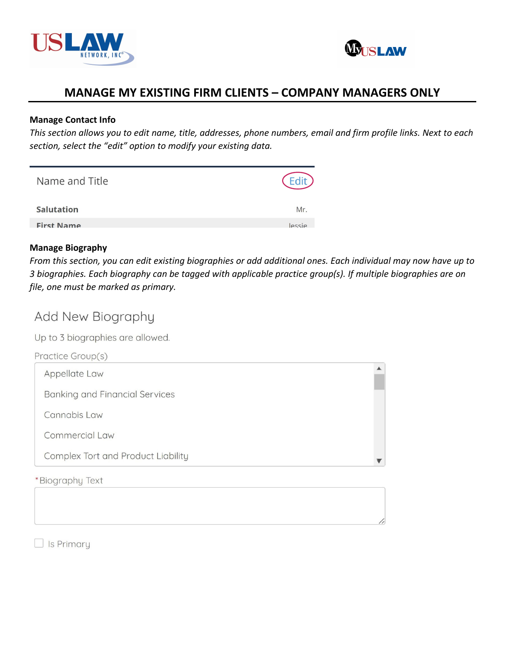



### **Manage Contact Info**

*This section allows you to edit name, title, addresses, phone numbers, email and firm profile links. Next to each section, select the "edit" option to modify your existing data.*

| Name and Title    |        |
|-------------------|--------|
| <b>Salutation</b> | Mr.    |
| <b>First Name</b> | lessie |

### **Manage Biography**

*From this section, you can edit existing biographies or add additional ones. Each individual may now have up to 3 biographies. Each biography can be tagged with applicable practice group(s). If multiple biographies are on file, one must be marked as primary.*

# Add New Biography

Up to 3 biographies are allowed.

| Practice Group(s)                     |  |
|---------------------------------------|--|
| Appellate Law                         |  |
| <b>Banking and Financial Services</b> |  |
| Cannabis Law                          |  |
| Commercial Law                        |  |
| Complex Tort and Product Liability    |  |
| *Biography Text                       |  |

 $\Box$  Is Primary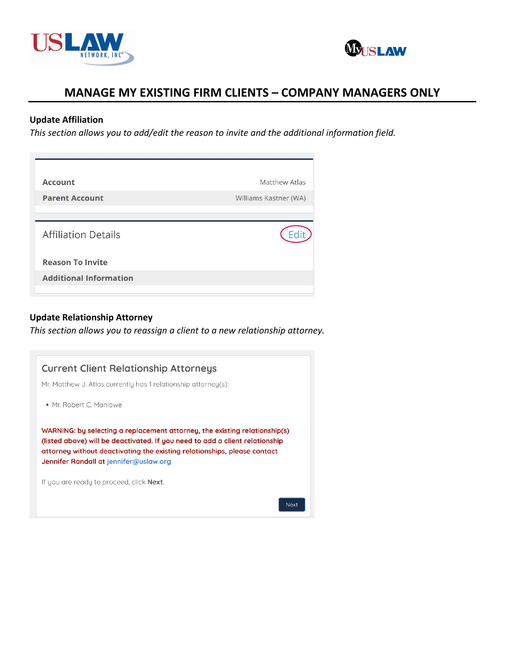



### **Update Affiliation**

*This section allows you to add/edit the reason to invite and the additional information field.*

| <b>Account</b>                | Matthew Atlas         |
|-------------------------------|-----------------------|
| <b>Parent Account</b>         | Williams Kastner (WA) |
| <b>Affiliation Details</b>    |                       |
| <b>Reason To Invite</b>       |                       |
| <b>Additional Information</b> |                       |

### **Update Relationship Attorney**

*This section allows you to reassign a client to a new relationship attorney.*